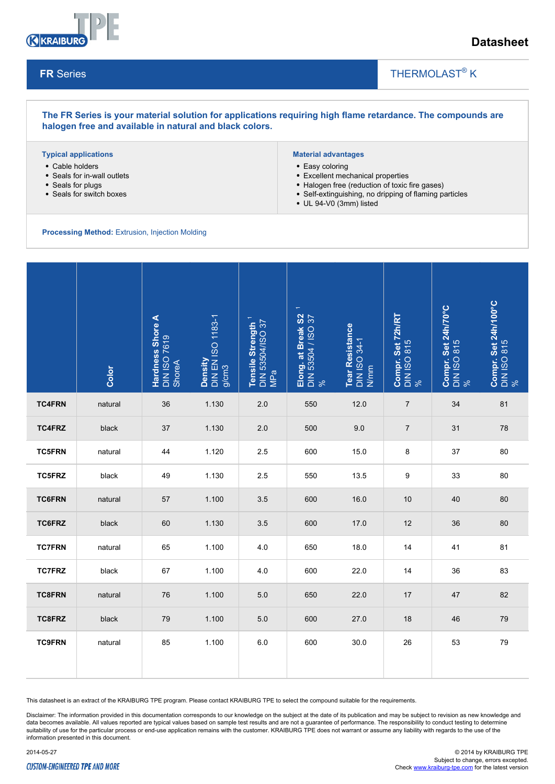

## **Datasheet**

### **FR** Series

### THERMOLAST<sup>®</sup> K

**The FR Series is your material solution for applications requiring high flame retardance. The compounds are halogen free and available in natural and black colors.**

#### **Typical applications**

- Cable holders
- Seals for in-wall outlets
- Seals for plugs
- Seals for switch boxes

#### **Material advantages**

- Easy coloring
- Excellent mechanical properties
- Halogen free (reduction of toxic fire gases)
- Self-extinguishing, no dripping of flaming particles

 $\overline{\phantom{a}}$ 

UL 94-V0 (3mm) listed

**Processing Method:** Extrusion, Injection Molding

|               | Color   | Hardness Shore A<br>DIN ISO 7619 | Density<br>DIN EN ISO 1183-1<br>g/cm3 | Tensile Strength <sup>1</sup><br>DIN 53504/ISO 37<br>MPa | $\overline{\phantom{m}}$<br>Elong. at Break S2<br>DIN 53504 / ISO 37<br>% | Tear Resistance<br>DIN ISO 34-1<br>N/mm | <b>Compr. Set 72h/RT</b><br>DIN ISO 815<br>% | Compr. Set 24h/70°C<br>DIN ISO 815<br>% | Compr. Set 24h/100°C<br>DIN ISO 815<br>% |
|---------------|---------|----------------------------------|---------------------------------------|----------------------------------------------------------|---------------------------------------------------------------------------|-----------------------------------------|----------------------------------------------|-----------------------------------------|------------------------------------------|
| <b>TC4FRN</b> | natural | 36                               | 1.130                                 | 2.0                                                      | 550                                                                       | 12.0                                    | $\overline{7}$                               | 34                                      | 81                                       |
| <b>TC4FRZ</b> | black   | 37                               | 1.130                                 | 2.0                                                      | 500                                                                       | 9.0                                     | $\overline{7}$                               | 31                                      | 78                                       |
| <b>TC5FRN</b> | natural | 44                               | 1.120                                 | 2.5                                                      | 600                                                                       | 15.0                                    | 8                                            | 37                                      | 80                                       |
| <b>TC5FRZ</b> | black   | 49                               | 1.130                                 | 2.5                                                      | 550                                                                       | 13.5                                    | 9                                            | 33                                      | 80                                       |
| <b>TC6FRN</b> | natural | 57                               | 1.100                                 | 3.5                                                      | 600                                                                       | 16.0                                    | 10                                           | 40                                      | 80                                       |
| TC6FRZ        | black   | 60                               | 1.130                                 | 3.5                                                      | 600                                                                       | 17.0                                    | 12                                           | 36                                      | 80                                       |
| <b>TC7FRN</b> | natural | 65                               | 1.100                                 | 4.0                                                      | 650                                                                       | 18.0                                    | 14                                           | 41                                      | 81                                       |
| <b>TC7FRZ</b> | black   | 67                               | 1.100                                 | 4.0                                                      | 600                                                                       | 22.0                                    | 14                                           | 36                                      | 83                                       |
| <b>TC8FRN</b> | natural | 76                               | 1.100                                 | 5.0                                                      | 650                                                                       | 22.0                                    | 17                                           | 47                                      | 82                                       |
| TC8FRZ        | black   | 79                               | 1.100                                 | 5.0                                                      | 600                                                                       | 27.0                                    | 18                                           | 46                                      | 79                                       |
| <b>TC9FRN</b> | natural | 85                               | 1.100                                 | 6.0                                                      | 600                                                                       | 30.0                                    | 26                                           | 53                                      | 79                                       |

This datasheet is an extract of the KRAIBURG TPE program. Please contact KRAIBURG TPE to select the compound suitable for the requirements.

Disclaimer: The information provided in this documentation corresponds to our knowledge on the subject at the date of its publication and may be subject to revision as new knowledge and data becomes available. All values reported are typical values based on sample test results and are not a guarantee of performance. The responsibility to conduct testing to determine suitability of use for the particular process or end-use application remains with the customer. KRAIBURG TPE does not warrant or assume any liability with regards to the use of the information presented in this document.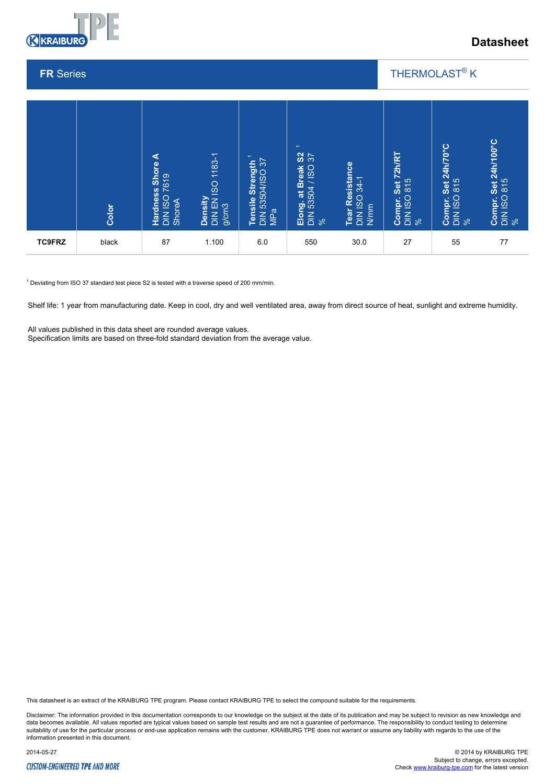

# **Datasheet**

### **FR** Series

### THERMOLAST<sup>®</sup> K

 $\overline{\phantom{a}}$ 



 $1$  Deviating from ISO 37 standard test piece S2 is tested with a traverse speed of 200 mm/min.

Shelf life: 1 year from manufacturing date. Keep in cool, dry and well ventilated area, away from direct source of heat, sunlight and extreme humidity.

All values published in this data sheet are rounded average values.

This datasheet is an extract of the KRAIBURG TPE program. Please contact KRAIBURG TPE to select the compound suitable for the requirements.

Disclaimer: The information provided in this documentation corresponds to our knowledge on the subject at the date of its publication and may be subject to revision as new knowledge and data becomes available. All values reported are typical values based on sample test results and are not a guarantee of performance. The responsibility to conduct testing to determine<br>suitability of use for the particular p information presented in this document.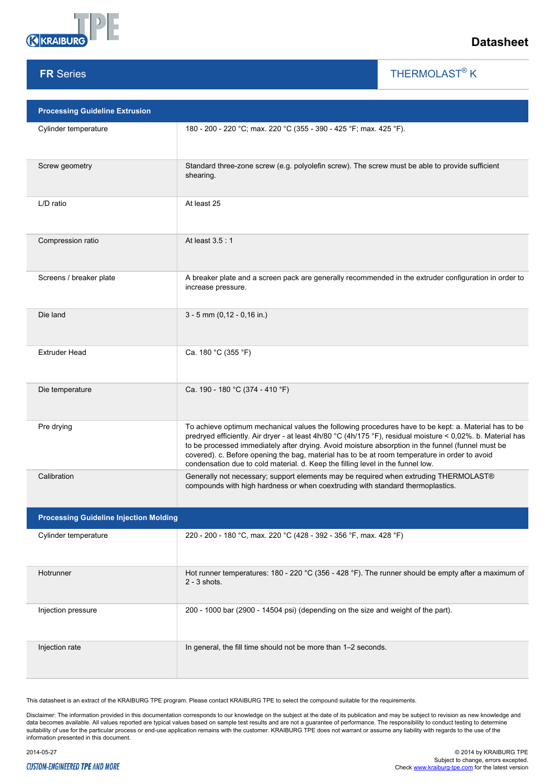

**FR** Series

## **Datasheet**

THERMOLAST<sup>®</sup> K

 $\overline{\phantom{a}}$ 

| <b>Processing Guideline Extrusion</b>         |                                                                                                                                                                                                                                                                                                                                                                                                                                                                                                              |  |  |  |  |  |
|-----------------------------------------------|--------------------------------------------------------------------------------------------------------------------------------------------------------------------------------------------------------------------------------------------------------------------------------------------------------------------------------------------------------------------------------------------------------------------------------------------------------------------------------------------------------------|--|--|--|--|--|
| Cylinder temperature                          | 180 - 200 - 220 °C; max. 220 °C (355 - 390 - 425 °F; max. 425 °F).                                                                                                                                                                                                                                                                                                                                                                                                                                           |  |  |  |  |  |
| Screw geometry                                | Standard three-zone screw (e.g. polyolefin screw). The screw must be able to provide sufficient<br>shearing.                                                                                                                                                                                                                                                                                                                                                                                                 |  |  |  |  |  |
| L/D ratio                                     | At least 25                                                                                                                                                                                                                                                                                                                                                                                                                                                                                                  |  |  |  |  |  |
| Compression ratio                             | At least 3.5:1                                                                                                                                                                                                                                                                                                                                                                                                                                                                                               |  |  |  |  |  |
| Screens / breaker plate                       | A breaker plate and a screen pack are generally recommended in the extruder configuration in order to<br>increase pressure.                                                                                                                                                                                                                                                                                                                                                                                  |  |  |  |  |  |
| Die land                                      | $3 - 5$ mm (0,12 - 0,16 in.)                                                                                                                                                                                                                                                                                                                                                                                                                                                                                 |  |  |  |  |  |
| <b>Extruder Head</b>                          | Ca. 180 °C (355 °F)                                                                                                                                                                                                                                                                                                                                                                                                                                                                                          |  |  |  |  |  |
| Die temperature                               | Ca. 190 - 180 °C (374 - 410 °F)                                                                                                                                                                                                                                                                                                                                                                                                                                                                              |  |  |  |  |  |
| Pre drying                                    | To achieve optimum mechanical values the following procedures have to be kept: a. Material has to be<br>predryed efficiently. Air dryer - at least 4h/80 °C (4h/175 °F), residual moisture < 0,02%. b. Material has<br>to be processed immediately after drying. Avoid moisture absorption in the funnel (funnel must be<br>covered). c. Before opening the bag, material has to be at room temperature in order to avoid<br>condensation due to cold material. d. Keep the filling level in the funnel low. |  |  |  |  |  |
| Calibration                                   | Generally not necessary; support elements may be required when extruding THERMOLAST®<br>compounds with high hardness or when coextruding with standard thermoplastics.                                                                                                                                                                                                                                                                                                                                       |  |  |  |  |  |
| <b>Processing Guideline Injection Molding</b> |                                                                                                                                                                                                                                                                                                                                                                                                                                                                                                              |  |  |  |  |  |
| Cylinder temperature                          | 220 - 200 - 180 °C, max. 220 °C (428 - 392 - 356 °F, max. 428 °F)                                                                                                                                                                                                                                                                                                                                                                                                                                            |  |  |  |  |  |
| Hotrunner                                     | Hot runner temperatures: 180 - 220 °C (356 - 428 °F). The runner should be empty after a maximum of<br>$2 - 3$ shots.                                                                                                                                                                                                                                                                                                                                                                                        |  |  |  |  |  |
| Injection pressure                            | 200 - 1000 bar (2900 - 14504 psi) (depending on the size and weight of the part).                                                                                                                                                                                                                                                                                                                                                                                                                            |  |  |  |  |  |
| Injection rate                                | In general, the fill time should not be more than 1-2 seconds.                                                                                                                                                                                                                                                                                                                                                                                                                                               |  |  |  |  |  |

This datasheet is an extract of the KRAIBURG TPE program. Please contact KRAIBURG TPE to select the compound suitable for the requirements.

Disclaimer: The information provided in this documentation corresponds to our knowledge on the subject at the date of its publication and may be subject to revision as new knowledge and<br>data becomes available. All values r